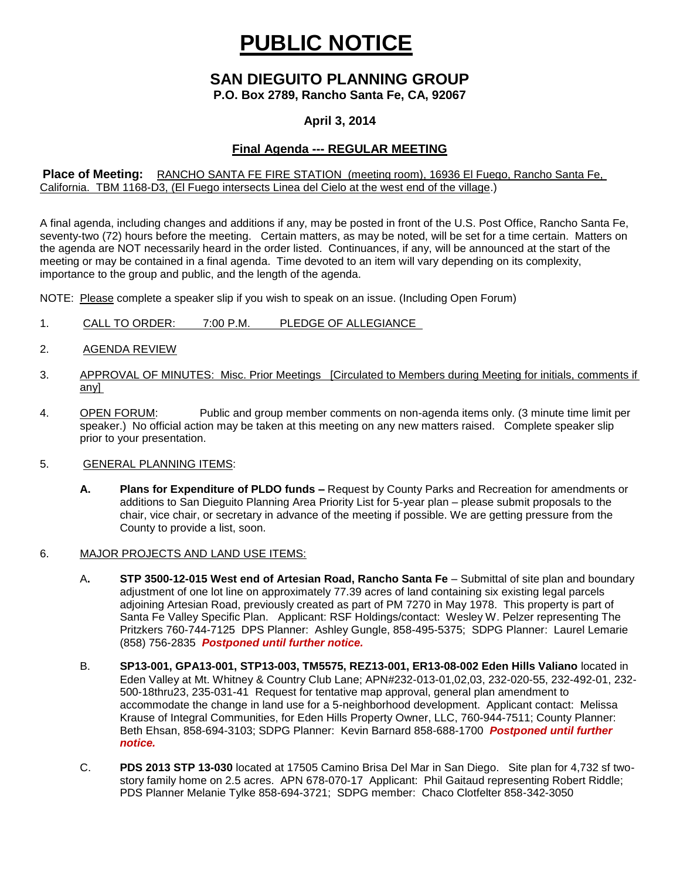# **PUBLIC NOTICE**

### **SAN DIEGUITO PLANNING GROUP**

**P.O. Box 2789, Rancho Santa Fe, CA, 92067**

#### **April 3, 2014**

#### **Final Agenda --- REGULAR MEETING**

#### **Place of Meeting:** RANCHO SANTA FE FIRE STATION (meeting room), 16936 El Fuego, Rancho Santa Fe, California. TBM 1168-D3, (El Fuego intersects Linea del Cielo at the west end of the village.)

A final agenda, including changes and additions if any, may be posted in front of the U.S. Post Office, Rancho Santa Fe, seventy-two (72) hours before the meeting. Certain matters, as may be noted, will be set for a time certain. Matters on the agenda are NOT necessarily heard in the order listed. Continuances, if any, will be announced at the start of the meeting or may be contained in a final agenda. Time devoted to an item will vary depending on its complexity, importance to the group and public, and the length of the agenda.

NOTE: Please complete a speaker slip if you wish to speak on an issue. (Including Open Forum)

- 1. CALL TO ORDER: 7:00 P.M. PLEDGE OF ALLEGIANCE
- 2. AGENDA REVIEW
- 3. APPROVAL OF MINUTES: Misc. Prior Meetings [Circulated to Members during Meeting for initials, comments if any]
- 4. OPEN FORUM: Public and group member comments on non-agenda items only. (3 minute time limit per speaker.) No official action may be taken at this meeting on any new matters raised. Complete speaker slip prior to your presentation.
- 5. GENERAL PLANNING ITEMS:
	- **A. Plans for Expenditure of PLDO funds –** Request by County Parks and Recreation for amendments or additions to San Dieguito Planning Area Priority List for 5-year plan – please submit proposals to the chair, vice chair, or secretary in advance of the meeting if possible. We are getting pressure from the County to provide a list, soon.
- 6. MAJOR PROJECTS AND LAND USE ITEMS:
	- A**. STP 3500-12-015 West end of Artesian Road, Rancho Santa Fe** Submittal of site plan and boundary adjustment of one lot line on approximately 77.39 acres of land containing six existing legal parcels adjoining Artesian Road, previously created as part of PM 7270 in May 1978. This property is part of Santa Fe Valley Specific Plan.Applicant: RSF Holdings/contact: Wesley W. Pelzer representing The Pritzkers 760-744-7125 DPS Planner: Ashley Gungle, 858-495-5375; SDPG Planner: Laurel Lemarie (858) 756-2835 *Postponed until further notice.*
	- B. **SP13-001, GPA13-001, STP13-003, TM5575, REZ13-001, ER13-08-002 Eden Hills Valiano** located in Eden Valley at Mt. Whitney & Country Club Lane; APN#232-013-01,02,03, 232-020-55, 232-492-01, 232- 500-18thru23, 235-031-41 Request for tentative map approval, general plan amendment to accommodate the change in land use for a 5-neighborhood development. Applicant contact: Melissa Krause of Integral Communities, for Eden Hills Property Owner, LLC, 760-944-7511; County Planner: Beth Ehsan, 858-694-3103; SDPG Planner: Kevin Barnard 858-688-1700 *Postponed until further notice.*
	- C. **PDS 2013 STP 13-030** located at 17505 Camino Brisa Del Mar in San Diego. Site plan for 4,732 sf twostory family home on 2.5 acres. APN 678-070-17 Applicant: Phil Gaitaud representing Robert Riddle; PDS Planner Melanie Tylke 858-694-3721; SDPG member: Chaco Clotfelter 858-342-3050